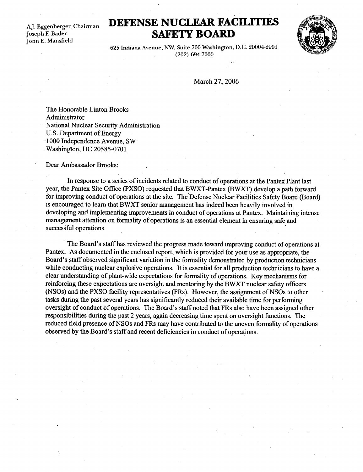A.J . Eggenberger, Chairman Joseph F. Bader John E. Mansfield

## DEFENSE NUCLEAR FACILITIES SAFETY BOARD



625 Indiana Avenue, NW, Suite 700 Washington, D.C. 20004-2901 (202) 694-7000

March 27, 2006

The Honorable Linton Brooks Administrator National Nuclear Security Administration U.S. Department of Energy 1000 Independence Avenue, SW Washington, DC 20585-0701

Dear Ambassador Brooks:

In response to a series of incidents related to conduct of operations at the Pantex Plant last year, the Pantex Site Office (PXSO) requested that BWXT-Pantex (BWXT) develop a path forward for improving conduct of operations at the site. The Defense Nuclear Facilities Safety Board (Board) is encouraged to learn that BWXT senior management has indeed been heavily involved in developing and implementing improvements in conduct of operations at Pantex. Maintaining intense management attention on formality of operations is an essential element in ensuring safe and successful operations.

The Board's staff has reviewed the progress made toward improving conduct of operations at Pantex. As documented in the enclosed report, which is provided for your use as appropriate, the Board's staff observed significant variation in the formality demonstrated by production technicians while conducting nuclear explosive operations. It is essential for all production technicians to have a clear understanding of plant-wide expectations for formality of operations . Key mechanisms for reinforcing these expectations are oversight and mentoring by the BWXT nuclear safety officers (NSOs) and the PXSO facility representatives (FRs) . However, the assignment of NSOs to other tasks during the past several years has significantly reduced their available time-for performing oversight of conduct of operations . The Board's staff noted that FRs also have been assigned other responsibilities during the past 2 years, again decreasing time spent on oversight functions . The reduced field presence of NSOs and FRs may have contributed to the uneven formality of operations observed by the Board's staff and recent deficiencies in conduct of operations .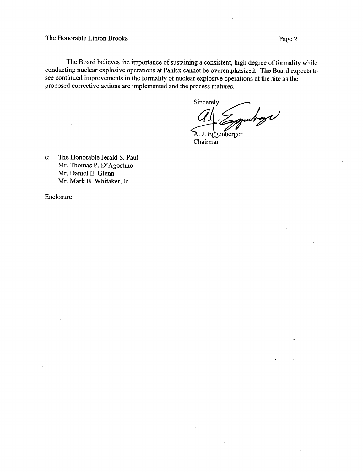The Honorable Linton Brooks The Honor

> The Board believes the importance of sustaining a consistent, high degree of formality while conducting nuclear explosive operations at Pantex cannot be overemphasized . The Board expects to see continued improvements in the formality of nuclear explosive operations at the site as the proposed corrective actions are implemented and the process matures .

Sincerely, hol

A. J. Eggenberger Chairman

c: The Honorable Jerald S. Paul Mr. Thomas P. D'Agostino Mr. Daniel E. Glenn Mr. Mark B. Whitaker, Jr.

Enclosure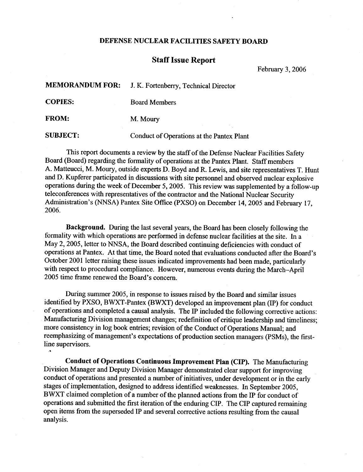## DEFENSE NUCLEAR FACILITIES SAFETY BOARD

## Staff Issue Report

February 3, 2006

|                 | MEMORANDUM FOR: J. K. Fortenberry, Technical Director |
|-----------------|-------------------------------------------------------|
| <b>COPIES:</b>  | <b>Board Members</b>                                  |
| <b>FROM:</b>    | M. Moury                                              |
| <b>SUBJECT:</b> | Conduct of Operations at the Pantex Plant             |

This report documents a review by the staff of the Defense Nuclear Facilities Safety Board (Board) regarding the formality of operations at the Pantex Plant. Staff members A. Matteucci, M. Moury, outside experts D. Boyd and R. Lewis, and site representatives T. Hunt and D. Kupferer participated in discussions with site personnel and observed nuclear explosive operations during the week of December 5, 2005. This review was supplemented by a follow-up teleconferences with representatives of the contractor and the National Nuclear Security Administration's (NNSA) Pantex Site Office (PXSO) on December 14, 2005 and February 17, 2006.

Background. During the last several years, the Board has been closely following the formality with which operations are performed in defense nuclear facilities at the site. In a May 2, 2005, letter to NNSA, the Board described continuing deficiencies with conduct of operations at Pantex. At that time, the Board noted that evaluations conducted after the Board's October 2001 letter raising these issues indicated improvements had been made, particularly with respect to procedural compliance. However, numerous events during the March-April 2005 time frame renewed the Board's concern.

During summer 2005, in response to issues raised by the Board and similar issues identified by PXSO, BWXT-Pantex (BWXT) developed an improvement plan (IP) for conduct of operations and completed a causal analysis. The IP included the following corrective actions : Manufacturing Division management changes; redefinition of critique leadership and timeliness; more consistency in log book entries; revision of the Conduct of Operations Manual; and reemphasizing of management's expectations of production section managers (PSMs), the firstline supervisors.

Conduct of Operations Continuous Improvement Plan (CIP). The Manufacturing Division Manager and Deputy Division Manager demonstrated clear support for improving conduct of operations and presented a number of initiatives, under development or in the early stages of implementation, designed to address identified weaknesses . In September 2005, BWXT claimed completion of a number of the planned actions from the IP for conduct of operations and submitted the first iteration of the enduring CIP . The CIP captured remaining open items from the superseded IP and several corrective actions resulting from the causal analysis.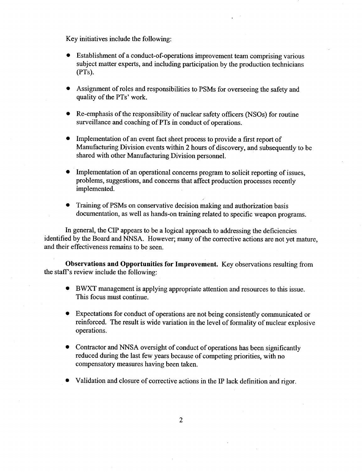Key initiatives include the following:  $\mathbf{K}$  $\mathbf{k}$ 

- Establishment of a conduct-of-operations improvement team comprising various subject matter experts, and including participation by the production technicians (PTs).
- Assignment of roles and responsibilities to PSMs for overseeing the safety and quality of the PTs' work.
- Re-emphasis of the responsibility of nuclear safety officers (NSOs) for routine surveillance and coaching of PTs in conduct of operations.
- Implementation of an event fact sheet process to provide a first report of Manufacturing Division events within 2 hours of discovery, and subsequently to be shared with other Manufacturing Division personnel.
- Implementation of an operational concerns program to solicit reporting of issues, problems, suggestions, and concerns that affect production processes recently implemented.
- Training of PSMs on conservative decision making and authorization basis documentation, as well as hands-on training related to specific weapon programs.

In general, the CIP appears to be a logical approach to addressing the deficiencies identified by the Board and NNSA. However; many of the corrective actions are not yet mature, and their effectiveness remains to be seen .

Observations and Opportunities for Improvement. Key observations resulting from the staff's review include the following:

- BWXT management is applying appropriate attention and resources to this issue . This focus must continue.
- Expectations for conduct of operations are not being consistently communicated or reinforced. The result is wide variation in the level of formality of nuclear explosive operations.
- Contractor and NNSA oversight of conduct of operations has been significantly reduced during the last few years because of competing priorities, with no compensatory measures having been taken.
- Validation and closure of corrective actions in the IP lack definition and rigor .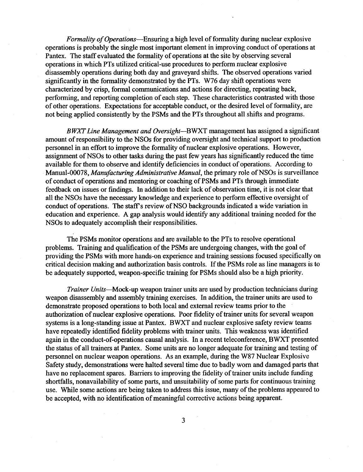Formality of Operations—Ensuring a high level of formality during nuclear explosive operations is probably the single most important element in improving conduct of operations at Pantex. The staff evaluated the formality of operations at the site by observing several operations in which PTs utilized critical-use procedures to perform nuclear explosive disassembly operations during both day and graveyard shifts. The observed operations varied significantly in the formality demonstrated by the PTs. W76 day shift operations were characterized by crisp, formal communications and actions for directing, repeating back, performing, and reporting completion of each step. These characteristics contrasted with those of other operations . Expectations for acceptable conduct, or the desired level of formality, are not being applied consistently by the PSMs and the PTs throughout all shifts and programs .

BWXT Line Management and Oversight-BWXT management has assigned a significant amount of responsibility to the NSOs for providing oversight and technical support to production personnel in an effort to improve the formality of nuclear explosive operations. However, assignment of NSOs to other tasks during the past few years has significantly reduced the time available for them to observe and identify deficiencies in conduct of operations . According to Manual-00078, Manufacturing Administrative Manual, the primary role of NSOs is surveillance of conduct of operations and mentoring or coaching of PSMs and PTs through immediate feedback on issues or findings. In addition to their lack of observation time, it is not clear that all the NSOs have the necessary knowledge and experience to perform effective oversight of conduct of operations. The staff's review of NSO backgrounds indicated a wide variation in education and experience. A gap analysis would identify any additional training needed for the NSOs to adequately accomplish their responsibilities .

The PSMs monitor operations and are available to the PTs to resolve operational problems. Training and qualification of the PSMs are undergoing changes, with the goal of providing the PSMs with more hands-on experience and training sessions focused specifically on critical decision making and authorization basis controls . If the PSMs role as line managers is to be adequately supported, weapon-specific training for PSMs should also be a high priority.

Trainer Units-Mock-up weapon trainer units are used by production technicians during weapon disassembly and assembly training exercises. In addition, the trainer units are used to demonstrate proposed operations to both local and external review teams prior to the authorization of nuclear explosive operations. Poor fidelity of trainer units for several weapon systems is a long-standing issue at Pantex. BWXT and nuclear explosive safety review teams have repeatedly identified fidelity problems with trainer units. This weakness was identified again in the conduct-of-operations causal analysis . In a recent teleconference, BWXT presented the status of all trainers at Pantex. Some units are no longer adequate for training and testing of personnel on nuclear weapon operations. As an example, during the W87 Nuclear Explosive Safety study, demonstrations were halted several time due to badly worn and damaged parts that have no replacement spares. Barriers to improving the fidelity of trainer units include funding shortfalls, nonavailability of some parts, and unsuitability of some parts for continuous training use. While some actions are being taken to address this issue, many of the problems appeared to be accepted, with no identification of meaningful corrective actions being apparent.